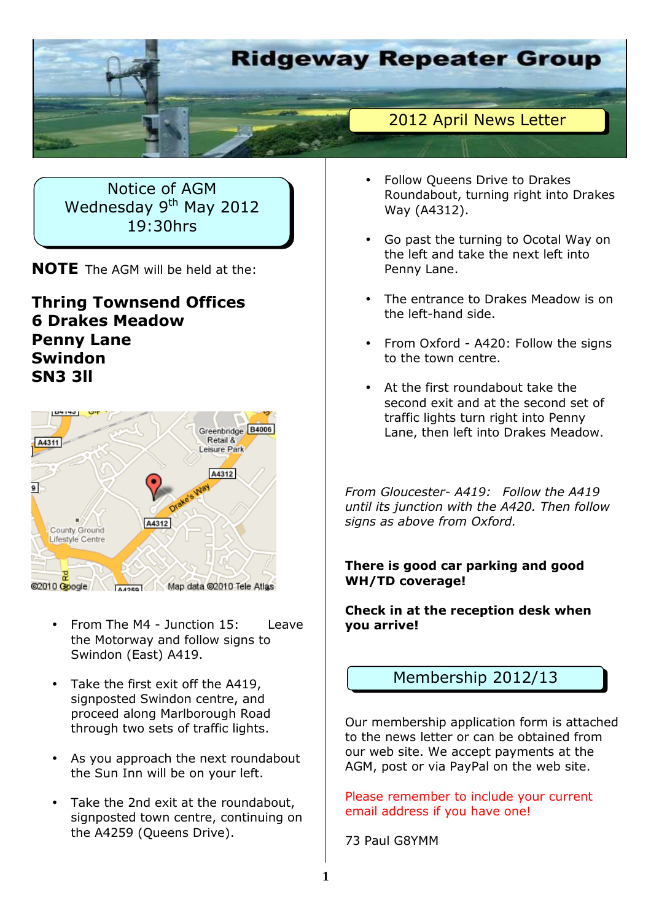

Notice of AGM Wednesday 9<sup>th</sup> May 2012 19:30hrs

**NOTE** The AGM will be held at the:

### **Thring Townsend Offices 6 Drakes Meadow Penny Lane Swindon SN3 3ll**



- From The M4 Junction 15: Leave the Motorway and follow signs to Swindon (East) A419.
- Take the first exit off the A419, signposted Swindon centre, and proceed along Marlborough Road through two sets of traffic lights.
- As you approach the next roundabout the Sun Inn will be on your left.
- Take the 2nd exit at the roundabout, signposted town centre, continuing on the A4259 (Queens Drive).
- Follow Queens Drive to Drakes Roundabout, turning right into Drakes Way (A4312).
- Go past the turning to Ocotal Way on the left and take the next left into Penny Lane.
- The entrance to Drakes Meadow is on the left-hand side.
- From Oxford A420: Follow the signs to the town centre.
- At the first roundabout take the second exit and at the second set of traffic lights turn right into Penny Lane, then left into Drakes Meadow.

*From Gloucester- A419: Follow the A419 until its junction with the A420. Then follow signs as above from Oxford.* 

### **There is good car parking and good WH/TD coverage!**

**Check in at the reception desk when you arrive!** 

## Membership 2012/13

Our membership application form is attached to the news letter or can be obtained from our web site. We accept payments at the AGM, post or via PayPal on the web site.

Please remember to include your current email address if you have one!

73 Paul G8YMM